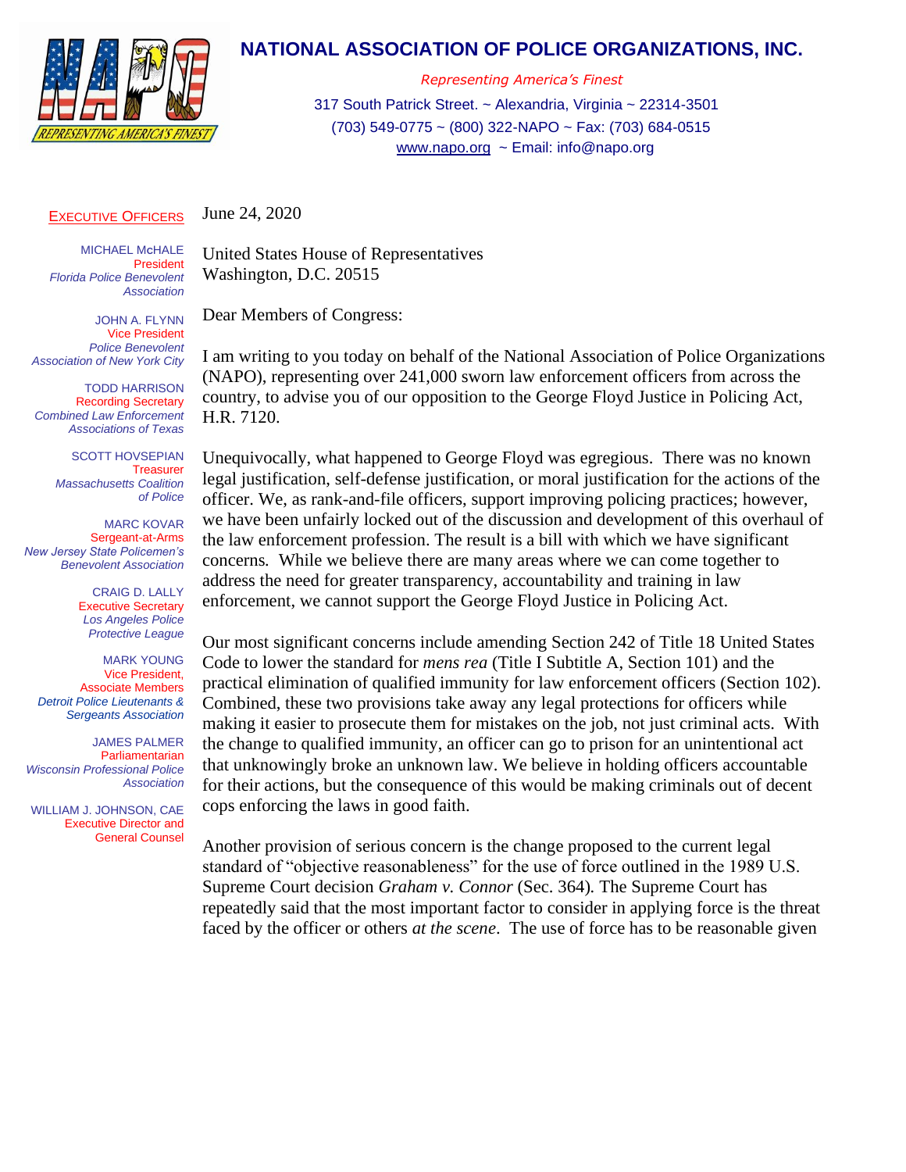

## **NATIONAL ASSOCIATION OF POLICE ORGANIZATIONS, INC.**

*Representing America's Finest*

317 South Patrick Street. ~ Alexandria, Virginia ~ 22314-3501 (703) 549-0775 ~ (800) 322-NAPO ~ Fax: (703) 684-0515 [www.napo.org](http://www.napo.org/) ~ Email: info@napo.org

## EXECUTIVE OFFICERS June 24, 2020

MICHAEL M**C**HALE President *Florida Police Benevolent Association*

JOHN A. FLYNN Vice President *Police Benevolent Association of New York City*

TODD HARRISON Recording Secretary *Combined Law Enforcement Associations of Texas*

> SCOTT HOVSEPIAN Treasurer *Massachusetts Coalition of Police*

MARC KOVAR Sergeant-at-Arms *New Jersey State Policemen's Benevolent Association*

> CRAIG D. LALLY Executive Secretary *Los Angeles Police Protective League*

MARK YOUNG Vice President, Associate Members *Detroit Police Lieutenants & Sergeants Association*

JAMES PALMER Parliamentarian *Wisconsin Professional Police Association*

 WILLIAM J. JOHNSON, CAE Executive Director and General Counsel

United States House of Representatives Washington, D.C. 20515

Dear Members of Congress:

I am writing to you today on behalf of the National Association of Police Organizations (NAPO), representing over 241,000 sworn law enforcement officers from across the country, to advise you of our opposition to the George Floyd Justice in Policing Act, H.R. 7120.

Unequivocally, what happened to George Floyd was egregious. There was no known legal justification, self-defense justification, or moral justification for the actions of the officer. We, as rank-and-file officers, support improving policing practices; however, we have been unfairly locked out of the discussion and development of this overhaul of the law enforcement profession. The result is a bill with which we have significant concerns*.* While we believe there are many areas where we can come together to address the need for greater transparency, accountability and training in law enforcement, we cannot support the George Floyd Justice in Policing Act.

Our most significant concerns include amending Section 242 of Title 18 United States Code to lower the standard for *mens rea* (Title I Subtitle A, Section 101) and the practical elimination of qualified immunity for law enforcement officers (Section 102). Combined, these two provisions take away any legal protections for officers while making it easier to prosecute them for mistakes on the job, not just criminal acts. With the change to qualified immunity, an officer can go to prison for an unintentional act that unknowingly broke an unknown law. We believe in holding officers accountable for their actions, but the consequence of this would be making criminals out of decent cops enforcing the laws in good faith.

Another provision of serious concern is the change proposed to the current legal standard of "objective reasonableness" for the use of force outlined in the 1989 U.S. Supreme Court decision *Graham v. Connor* (Sec. 364)*.* The Supreme Court has repeatedly said that the most important factor to consider in applying force is the threat faced by the officer or others *at the scene*. The use of force has to be reasonable given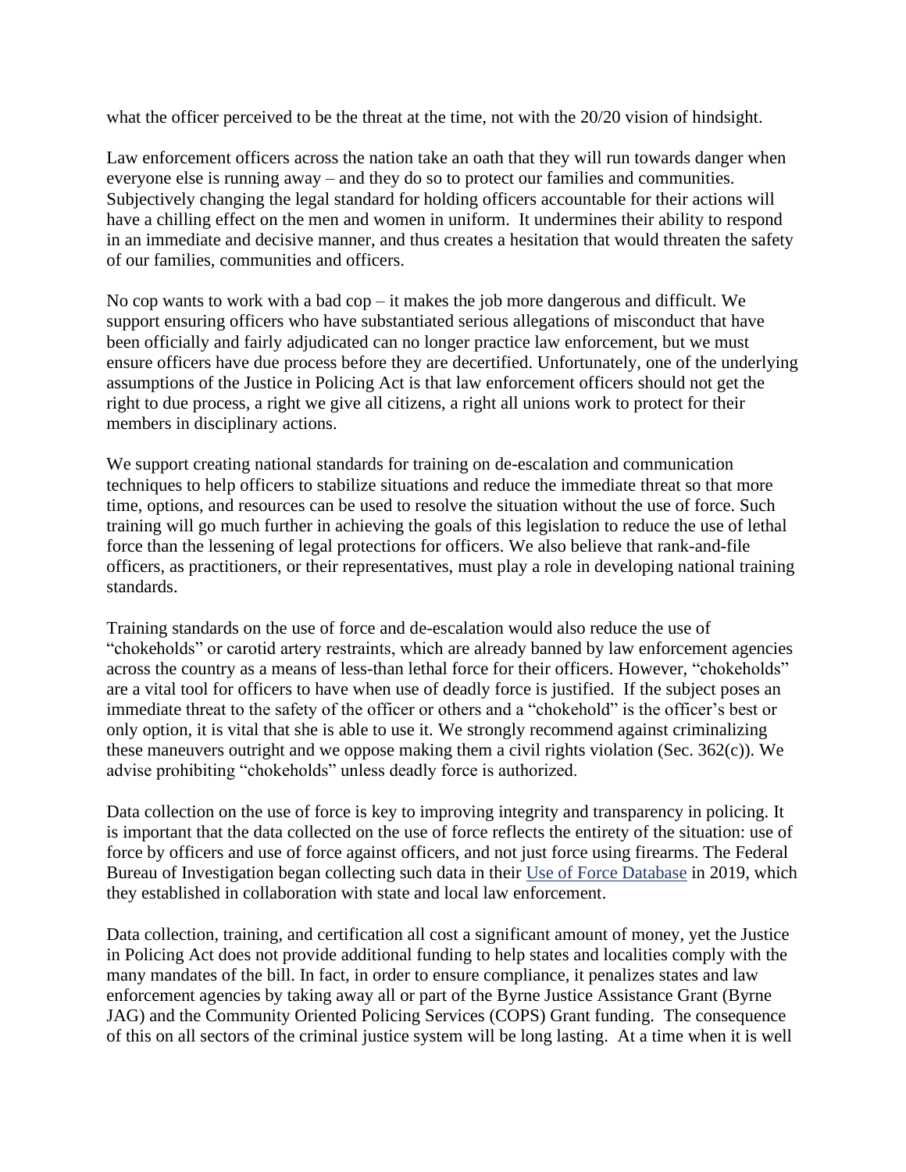what the officer perceived to be the threat at the time, not with the 20/20 vision of hindsight.

Law enforcement officers across the nation take an oath that they will run towards danger when everyone else is running away – and they do so to protect our families and communities. Subjectively changing the legal standard for holding officers accountable for their actions will have a chilling effect on the men and women in uniform. It undermines their ability to respond in an immediate and decisive manner, and thus creates a hesitation that would threaten the safety of our families, communities and officers.

No cop wants to work with a bad cop – it makes the job more dangerous and difficult. We support ensuring officers who have substantiated serious allegations of misconduct that have been officially and fairly adjudicated can no longer practice law enforcement, but we must ensure officers have due process before they are decertified. Unfortunately, one of the underlying assumptions of the Justice in Policing Act is that law enforcement officers should not get the right to due process, a right we give all citizens, a right all unions work to protect for their members in disciplinary actions.

We support creating national standards for training on de-escalation and communication techniques to help officers to stabilize situations and reduce the immediate threat so that more time, options, and resources can be used to resolve the situation without the use of force. Such training will go much further in achieving the goals of this legislation to reduce the use of lethal force than the lessening of legal protections for officers. We also believe that rank-and-file officers, as practitioners, or their representatives, must play a role in developing national training standards.

Training standards on the use of force and de-escalation would also reduce the use of "chokeholds" or carotid artery restraints, which are already banned by law enforcement agencies across the country as a means of less-than lethal force for their officers. However, "chokeholds" are a vital tool for officers to have when use of deadly force is justified. If the subject poses an immediate threat to the safety of the officer or others and a "chokehold" is the officer's best or only option, it is vital that she is able to use it. We strongly recommend against criminalizing these maneuvers outright and we oppose making them a civil rights violation (Sec. 362(c)). We advise prohibiting "chokeholds" unless deadly force is authorized.

Data collection on the use of force is key to improving integrity and transparency in policing. It is important that the data collected on the use of force reflects the entirety of the situation: use of force by officers and use of force against officers, and not just force using firearms. The Federal Bureau of Investigation began collecting such data in their [Use of Force Database](https://www.fbi.gov/services/cjis/ucr/use-of-force#Data-Collected) in 2019, which they established in collaboration with state and local law enforcement.

Data collection, training, and certification all cost a significant amount of money, yet the Justice in Policing Act does not provide additional funding to help states and localities comply with the many mandates of the bill. In fact, in order to ensure compliance, it penalizes states and law enforcement agencies by taking away all or part of the Byrne Justice Assistance Grant (Byrne JAG) and the Community Oriented Policing Services (COPS) Grant funding. The consequence of this on all sectors of the criminal justice system will be long lasting. At a time when it is well